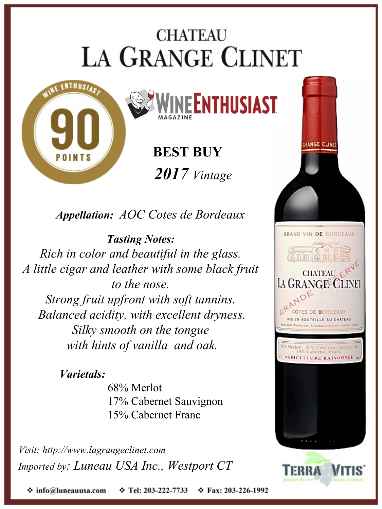## **CHATEAU LA GRANGE CLINET**



**BEST BUY** *2017 Vintage*

*Appellation: AOC Cotes de Bordeaux*

*Tasting Notes: Rich in color and beautiful in the glass. A little cigar and leather with some black fruit to the nose. Strong fruit upfront with soft tannins. Balanced acidity, with excellent dryness. Silky smooth on the tongue with hints of vanilla and oak.*

## *Varietals:*

68% Merlot 17% Cabernet Sauvignon 15% Cabernet Franc

*Visit: http://www.lagrangeclinet.com Imported by: Luneau USA Inc., Westport CT*



❖ info@luneauusa.com **↑ Tel: 203-222-7733 ☆ Fax: 203-226-1992**